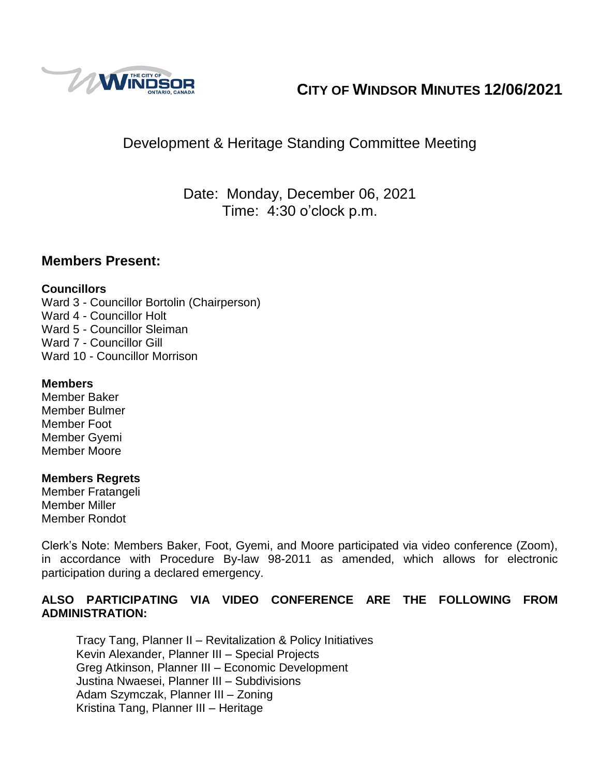

# **CITY OF WINDSOR MINUTES 12/06/2021**

# Development & Heritage Standing Committee Meeting

Date: Monday, December 06, 2021 Time: 4:30 o'clock p.m.

### **Members Present:**

#### **Councillors**

Ward 3 - Councillor Bortolin (Chairperson) Ward 4 - Councillor Holt Ward 5 - Councillor Sleiman Ward 7 - Councillor Gill Ward 10 - Councillor Morrison

#### **Members**

Member Baker Member Bulmer Member Foot Member Gyemi Member Moore

#### **Members Regrets**

Member Fratangeli Member Miller Member Rondot

Clerk's Note: Members Baker, Foot, Gyemi, and Moore participated via video conference (Zoom), in accordance with Procedure By-law 98-2011 as amended, which allows for electronic participation during a declared emergency.

#### **ALSO PARTICIPATING VIA VIDEO CONFERENCE ARE THE FOLLOWING FROM ADMINISTRATION:**

Tracy Tang, Planner II – Revitalization & Policy Initiatives Kevin Alexander, Planner III – Special Projects Greg Atkinson, Planner III – Economic Development Justina Nwaesei, Planner III – Subdivisions Adam Szymczak, Planner III – Zoning Kristina Tang, Planner III – Heritage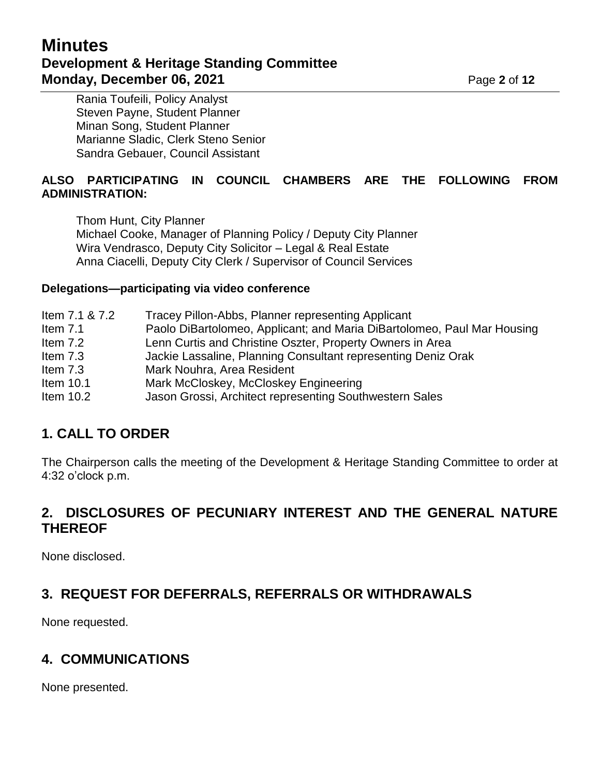# **Minutes Development & Heritage Standing Committee Monday, December 06, 2021 Page 2** of 12

Rania Toufeili, Policy Analyst Steven Payne, Student Planner Minan Song, Student Planner Marianne Sladic, Clerk Steno Senior Sandra Gebauer, Council Assistant

#### **ALSO PARTICIPATING IN COUNCIL CHAMBERS ARE THE FOLLOWING FROM ADMINISTRATION:**

Thom Hunt, City Planner Michael Cooke, Manager of Planning Policy / Deputy City Planner Wira Vendrasco, Deputy City Solicitor – Legal & Real Estate Anna Ciacelli, Deputy City Clerk / Supervisor of Council Services

#### **Delegations—participating via video conference**

# **1. CALL TO ORDER**

The Chairperson calls the meeting of the Development & Heritage Standing Committee to order at 4:32 o'clock p.m.

## **2. DISCLOSURES OF PECUNIARY INTEREST AND THE GENERAL NATURE THEREOF**

None disclosed.

# **3. REQUEST FOR DEFERRALS, REFERRALS OR WITHDRAWALS**

None requested.

# **4. COMMUNICATIONS**

None presented.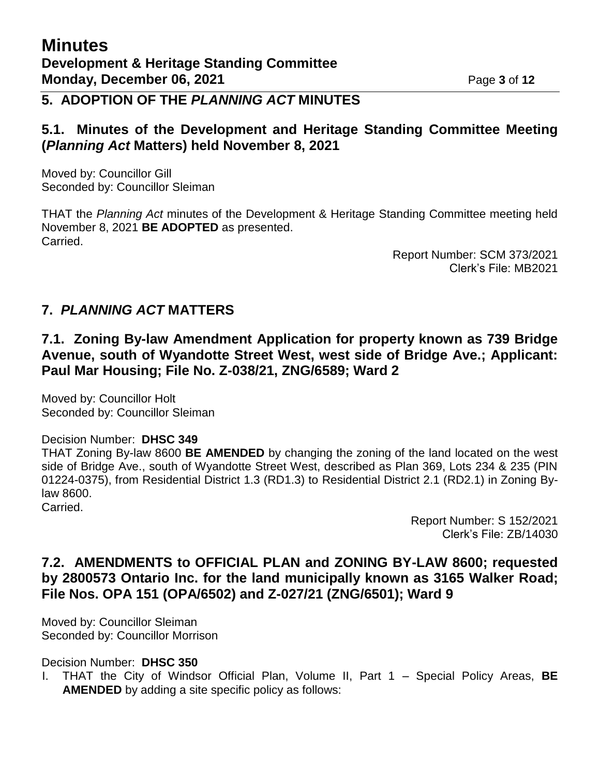### **5. ADOPTION OF THE** *PLANNING ACT* **MINUTES**

### **5.1. Minutes of the Development and Heritage Standing Committee Meeting (***Planning Act* **Matters) held November 8, 2021**

Moved by: Councillor Gill Seconded by: Councillor Sleiman

THAT the *Planning Act* minutes of the Development & Heritage Standing Committee meeting held November 8, 2021 **BE ADOPTED** as presented. Carried.

> Report Number: SCM 373/2021 Clerk's File: MB2021

### **7.** *PLANNING ACT* **MATTERS**

### **7.1. Zoning By-law Amendment Application for property known as 739 Bridge Avenue, south of Wyandotte Street West, west side of Bridge Ave.; Applicant: Paul Mar Housing; File No. Z-038/21, ZNG/6589; Ward 2**

Moved by: Councillor Holt Seconded by: Councillor Sleiman

#### Decision Number: **DHSC 349**

THAT Zoning By-law 8600 **BE AMENDED** by changing the zoning of the land located on the west side of Bridge Ave., south of Wyandotte Street West, described as Plan 369, Lots 234 & 235 (PIN 01224-0375), from Residential District 1.3 (RD1.3) to Residential District 2.1 (RD2.1) in Zoning Bylaw 8600. Carried.

> Report Number: S 152/2021 Clerk's File: ZB/14030

### **7.2. AMENDMENTS to OFFICIAL PLAN and ZONING BY-LAW 8600; requested by 2800573 Ontario Inc. for the land municipally known as 3165 Walker Road; File Nos. OPA 151 (OPA/6502) and Z-027/21 (ZNG/6501); Ward 9**

Moved by: Councillor Sleiman Seconded by: Councillor Morrison

Decision Number: **DHSC 350**

I. THAT the City of Windsor Official Plan, Volume II, Part 1 – Special Policy Areas, **BE AMENDED** by adding a site specific policy as follows: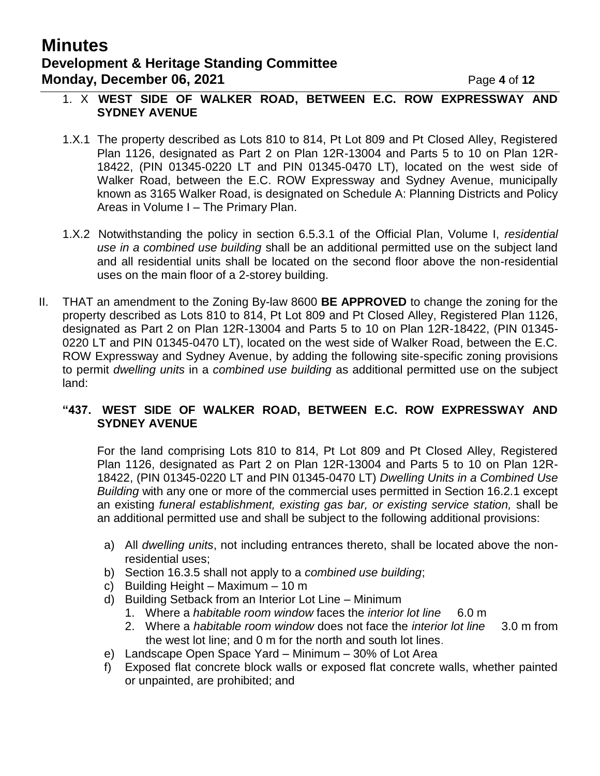# **Minutes Development & Heritage Standing Committee Monday, December 06, 2021 Page 4 of 12**

#### 1. X **WEST SIDE OF WALKER ROAD, BETWEEN E.C. ROW EXPRESSWAY AND SYDNEY AVENUE**

- 1.X.1 The property described as Lots 810 to 814, Pt Lot 809 and Pt Closed Alley, Registered Plan 1126, designated as Part 2 on Plan 12R-13004 and Parts 5 to 10 on Plan 12R-18422, (PIN 01345-0220 LT and PIN 01345-0470 LT), located on the west side of Walker Road, between the E.C. ROW Expressway and Sydney Avenue, municipally known as 3165 Walker Road, is designated on Schedule A: Planning Districts and Policy Areas in Volume I – The Primary Plan.
- 1.X.2 Notwithstanding the policy in section 6.5.3.1 of the Official Plan, Volume I, *residential use in a combined use building* shall be an additional permitted use on the subject land and all residential units shall be located on the second floor above the non-residential uses on the main floor of a 2-storey building.
- II. THAT an amendment to the Zoning By-law 8600 **BE APPROVED** to change the zoning for the property described as Lots 810 to 814, Pt Lot 809 and Pt Closed Alley, Registered Plan 1126, designated as Part 2 on Plan 12R-13004 and Parts 5 to 10 on Plan 12R-18422, (PIN 01345- 0220 LT and PIN 01345-0470 LT), located on the west side of Walker Road, between the E.C. ROW Expressway and Sydney Avenue, by adding the following site-specific zoning provisions to permit *dwelling units* in a *combined use building* as additional permitted use on the subject land:

#### **"437. WEST SIDE OF WALKER ROAD, BETWEEN E.C. ROW EXPRESSWAY AND SYDNEY AVENUE**

For the land comprising Lots 810 to 814, Pt Lot 809 and Pt Closed Alley, Registered Plan 1126, designated as Part 2 on Plan 12R-13004 and Parts 5 to 10 on Plan 12R-18422, (PIN 01345-0220 LT and PIN 01345-0470 LT) *Dwelling Units in a Combined Use Building* with any one or more of the commercial uses permitted in Section 16.2.1 except an existing *funeral establishment, existing gas bar, or existing service station,* shall be an additional permitted use and shall be subject to the following additional provisions:

- a) All *dwelling units*, not including entrances thereto, shall be located above the nonresidential uses;
- b) Section 16.3.5 shall not apply to a *combined use building*;
- c) Building Height Maximum 10 m
- d) Building Setback from an Interior Lot Line Minimum
	- 1. Where a *habitable room window* faces the *interior lot line* 6.0 m
	- 2. Where a *habitable room window* does not face the *interior lot line* 3.0 m from the west lot line; and 0 m for the north and south lot lines.
- e) Landscape Open Space Yard Minimum 30% of Lot Area
- f) Exposed flat concrete block walls or exposed flat concrete walls, whether painted or unpainted, are prohibited; and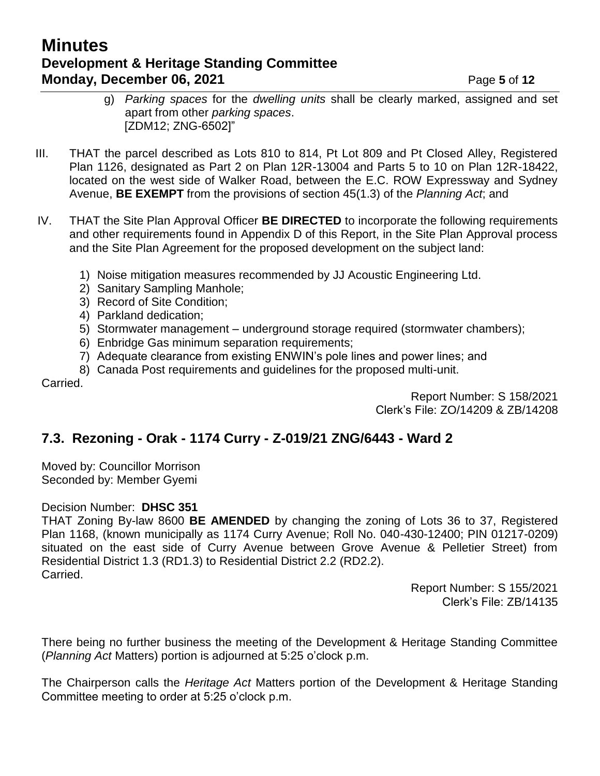# **Minutes Development & Heritage Standing Committee Monday, December 06, 2021 Page 5** of 12

- g) *Parking spaces* for the *dwelling units* shall be clearly marked, assigned and set apart from other *parking spaces*. [ZDM12; ZNG-6502]"
- III. THAT the parcel described as Lots 810 to 814, Pt Lot 809 and Pt Closed Alley, Registered Plan 1126, designated as Part 2 on Plan 12R-13004 and Parts 5 to 10 on Plan 12R-18422, located on the west side of Walker Road, between the E.C. ROW Expressway and Sydney Avenue, **BE EXEMPT** from the provisions of section 45(1.3) of the *Planning Act*; and
- IV. THAT the Site Plan Approval Officer **BE DIRECTED** to incorporate the following requirements and other requirements found in Appendix D of this Report, in the Site Plan Approval process and the Site Plan Agreement for the proposed development on the subject land:
	- 1) Noise mitigation measures recommended by JJ Acoustic Engineering Ltd.
	- 2) Sanitary Sampling Manhole;
	- 3) Record of Site Condition;
	- 4) Parkland dedication;
	- 5) Stormwater management underground storage required (stormwater chambers);
	- 6) Enbridge Gas minimum separation requirements;
	- 7) Adequate clearance from existing ENWIN's pole lines and power lines; and
	- 8) Canada Post requirements and guidelines for the proposed multi-unit.

Carried.

Report Number: S 158/2021 Clerk's File: ZO/14209 & ZB/14208

### **7.3. Rezoning - Orak - 1174 Curry - Z-019/21 ZNG/6443 - Ward 2**

Moved by: Councillor Morrison Seconded by: Member Gyemi

#### Decision Number: **DHSC 351**

THAT Zoning By-law 8600 **BE AMENDED** by changing the zoning of Lots 36 to 37, Registered Plan 1168, (known municipally as 1174 Curry Avenue; Roll No. 040-430-12400; PIN 01217-0209) situated on the east side of Curry Avenue between Grove Avenue & Pelletier Street) from Residential District 1.3 (RD1.3) to Residential District 2.2 (RD2.2). Carried.

> Report Number: S 155/2021 Clerk's File: ZB/14135

There being no further business the meeting of the Development & Heritage Standing Committee (*Planning Act* Matters) portion is adjourned at 5:25 o'clock p.m.

The Chairperson calls the *Heritage Act* Matters portion of the Development & Heritage Standing Committee meeting to order at 5:25 o'clock p.m.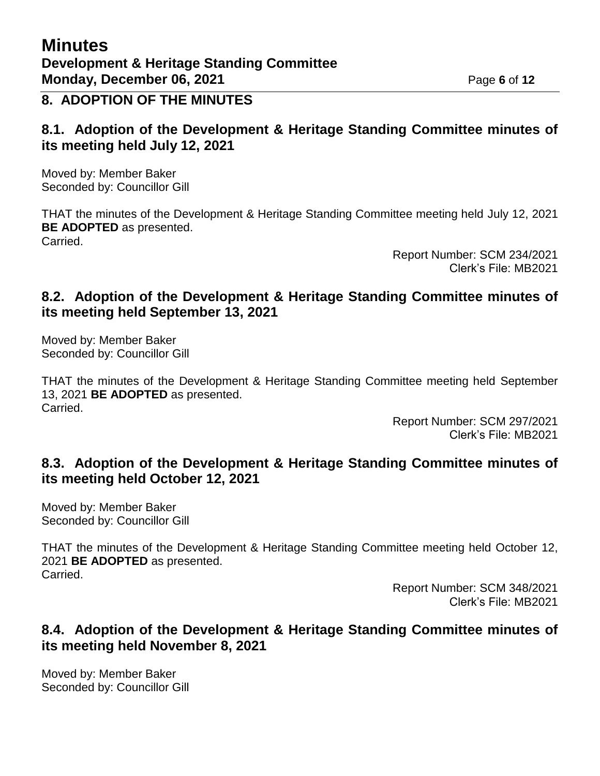## **8. ADOPTION OF THE MINUTES**

### **8.1. Adoption of the Development & Heritage Standing Committee minutes of its meeting held July 12, 2021**

Moved by: Member Baker Seconded by: Councillor Gill

THAT the minutes of the Development & Heritage Standing Committee meeting held July 12, 2021 **BE ADOPTED** as presented. Carried.

> Report Number: SCM 234/2021 Clerk's File: MB2021

### **8.2. Adoption of the Development & Heritage Standing Committee minutes of its meeting held September 13, 2021**

Moved by: Member Baker Seconded by: Councillor Gill

THAT the minutes of the Development & Heritage Standing Committee meeting held September 13, 2021 **BE ADOPTED** as presented. Carried.

> Report Number: SCM 297/2021 Clerk's File: MB2021

### **8.3. Adoption of the Development & Heritage Standing Committee minutes of its meeting held October 12, 2021**

Moved by: Member Baker Seconded by: Councillor Gill

THAT the minutes of the Development & Heritage Standing Committee meeting held October 12, 2021 **BE ADOPTED** as presented. Carried.

> Report Number: SCM 348/2021 Clerk's File: MB2021

### **8.4. Adoption of the Development & Heritage Standing Committee minutes of its meeting held November 8, 2021**

Moved by: Member Baker Seconded by: Councillor Gill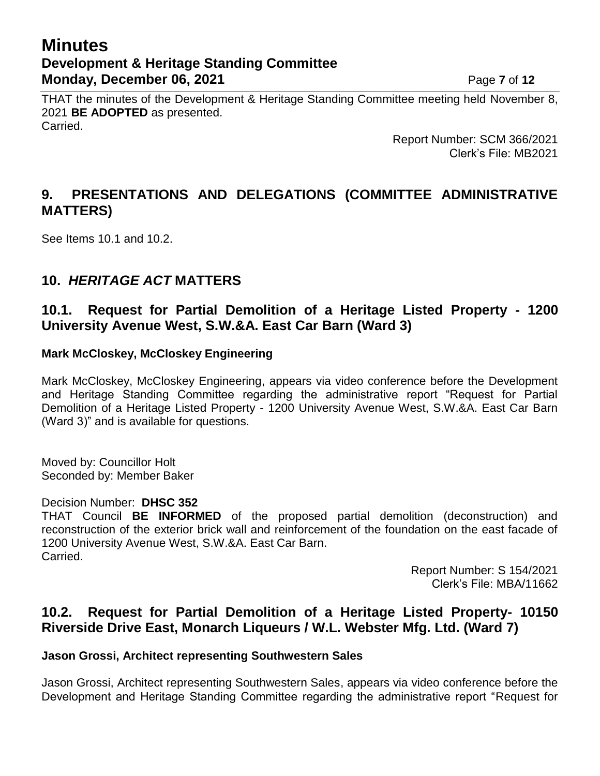# **Minutes Development & Heritage Standing Committee Monday, December 06, 2021 Page 7** of 12

THAT the minutes of the Development & Heritage Standing Committee meeting held November 8, 2021 **BE ADOPTED** as presented. Carried.

> Report Number: SCM 366/2021 Clerk's File: MB2021

## **9. PRESENTATIONS AND DELEGATIONS (COMMITTEE ADMINISTRATIVE MATTERS)**

See Items 10.1 and 10.2.

### **10.** *HERITAGE ACT* **MATTERS**

### **10.1. Request for Partial Demolition of a Heritage Listed Property - 1200 University Avenue West, S.W.&A. East Car Barn (Ward 3)**

#### **Mark McCloskey, McCloskey Engineering**

Mark McCloskey, McCloskey Engineering, appears via video conference before the Development and Heritage Standing Committee regarding the administrative report "Request for Partial Demolition of a Heritage Listed Property - 1200 University Avenue West, S.W.&A. East Car Barn (Ward 3)" and is available for questions.

Moved by: Councillor Holt Seconded by: Member Baker

#### Decision Number: **DHSC 352**

THAT Council **BE INFORMED** of the proposed partial demolition (deconstruction) and reconstruction of the exterior brick wall and reinforcement of the foundation on the east facade of 1200 University Avenue West, S.W.&A. East Car Barn. Carried.

> Report Number: S 154/2021 Clerk's File: MBA/11662

### **10.2. Request for Partial Demolition of a Heritage Listed Property- 10150 Riverside Drive East, Monarch Liqueurs / W.L. Webster Mfg. Ltd. (Ward 7)**

#### **Jason Grossi, Architect representing Southwestern Sales**

Jason Grossi, Architect representing Southwestern Sales, appears via video conference before the Development and Heritage Standing Committee regarding the administrative report "Request for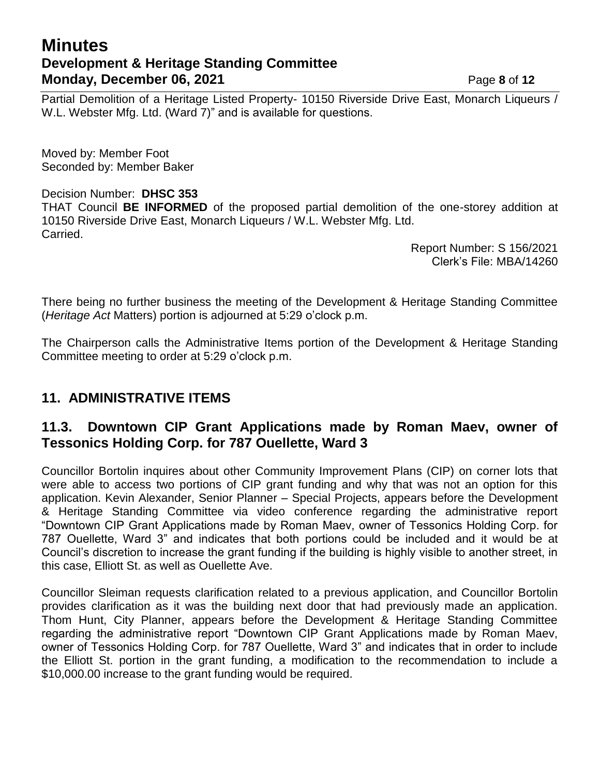# **Minutes Development & Heritage Standing Committee Monday, December 06, 2021 Page 8** of 12

Partial Demolition of a Heritage Listed Property- 10150 Riverside Drive East, Monarch Liqueurs / W.L. Webster Mfg. Ltd. (Ward 7)" and is available for questions.

Moved by: Member Foot Seconded by: Member Baker

#### Decision Number: **DHSC 353**

THAT Council **BE INFORMED** of the proposed partial demolition of the one-storey addition at 10150 Riverside Drive East, Monarch Liqueurs / W.L. Webster Mfg. Ltd. Carried.

> Report Number: S 156/2021 Clerk's File: MBA/14260

There being no further business the meeting of the Development & Heritage Standing Committee (*Heritage Act* Matters) portion is adjourned at 5:29 o'clock p.m.

The Chairperson calls the Administrative Items portion of the Development & Heritage Standing Committee meeting to order at 5:29 o'clock p.m.

### **11. ADMINISTRATIVE ITEMS**

### **11.3. Downtown CIP Grant Applications made by Roman Maev, owner of Tessonics Holding Corp. for 787 Ouellette, Ward 3**

Councillor Bortolin inquires about other Community Improvement Plans (CIP) on corner lots that were able to access two portions of CIP grant funding and why that was not an option for this application. Kevin Alexander, Senior Planner – Special Projects, appears before the Development & Heritage Standing Committee via video conference regarding the administrative report "Downtown CIP Grant Applications made by Roman Maev, owner of Tessonics Holding Corp. for 787 Ouellette, Ward 3" and indicates that both portions could be included and it would be at Council's discretion to increase the grant funding if the building is highly visible to another street, in this case, Elliott St. as well as Ouellette Ave.

Councillor Sleiman requests clarification related to a previous application, and Councillor Bortolin provides clarification as it was the building next door that had previously made an application. Thom Hunt, City Planner, appears before the Development & Heritage Standing Committee regarding the administrative report "Downtown CIP Grant Applications made by Roman Maev, owner of Tessonics Holding Corp. for 787 Ouellette, Ward 3" and indicates that in order to include the Elliott St. portion in the grant funding, a modification to the recommendation to include a \$10,000.00 increase to the grant funding would be required.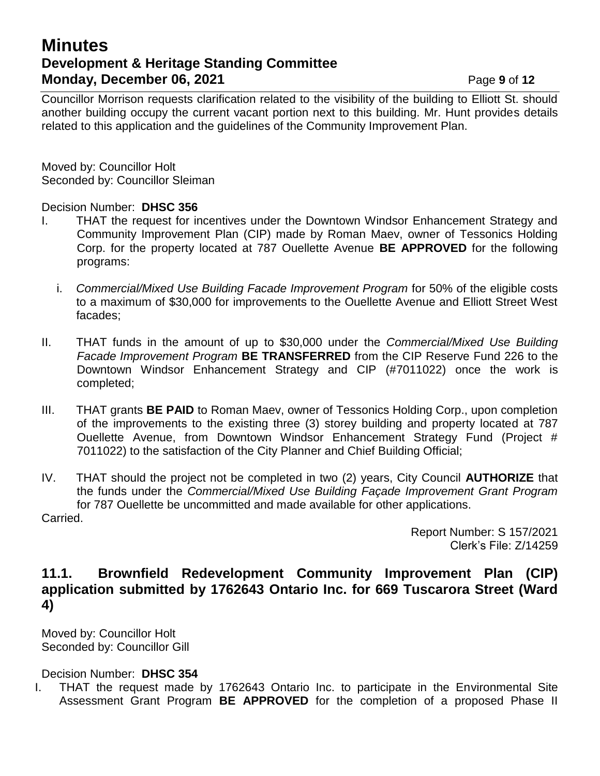# **Minutes Development & Heritage Standing Committee Monday, December 06, 2021 Page 9** of 12

Councillor Morrison requests clarification related to the visibility of the building to Elliott St. should another building occupy the current vacant portion next to this building. Mr. Hunt provides details related to this application and the guidelines of the Community Improvement Plan.

Moved by: Councillor Holt Seconded by: Councillor Sleiman

#### Decision Number: **DHSC 356**

- I. THAT the request for incentives under the Downtown Windsor Enhancement Strategy and Community Improvement Plan (CIP) made by Roman Maev, owner of Tessonics Holding Corp. for the property located at 787 Ouellette Avenue **BE APPROVED** for the following programs:
	- i. *Commercial/Mixed Use Building Facade Improvement Program* for 50% of the eligible costs to a maximum of \$30,000 for improvements to the Ouellette Avenue and Elliott Street West facades;
- II. THAT funds in the amount of up to \$30,000 under the *Commercial/Mixed Use Building Facade Improvement Program* **BE TRANSFERRED** from the CIP Reserve Fund 226 to the Downtown Windsor Enhancement Strategy and CIP (#7011022) once the work is completed;
- III. THAT grants **BE PAID** to Roman Maev, owner of Tessonics Holding Corp., upon completion of the improvements to the existing three (3) storey building and property located at 787 Ouellette Avenue, from Downtown Windsor Enhancement Strategy Fund (Project # 7011022) to the satisfaction of the City Planner and Chief Building Official;
- IV. THAT should the project not be completed in two (2) years, City Council **AUTHORIZE** that the funds under the *Commercial/Mixed Use Building Façade Improvement Grant Program* for 787 Ouellette be uncommitted and made available for other applications. Carried.

Report Number: S 157/2021 Clerk's File: Z/14259

### **11.1. Brownfield Redevelopment Community Improvement Plan (CIP) application submitted by 1762643 Ontario Inc. for 669 Tuscarora Street (Ward 4)**

Moved by: Councillor Holt Seconded by: Councillor Gill

Decision Number: **DHSC 354**

I. THAT the request made by 1762643 Ontario Inc. to participate in the Environmental Site Assessment Grant Program **BE APPROVED** for the completion of a proposed Phase II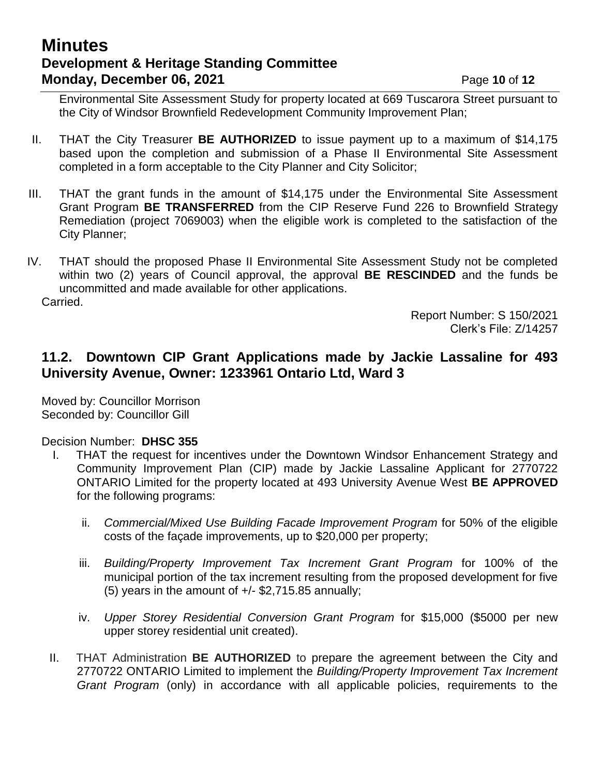# **Minutes Development & Heritage Standing Committee Monday, December 06, 2021 Page 10 of 12**

Environmental Site Assessment Study for property located at 669 Tuscarora Street pursuant to the City of Windsor Brownfield Redevelopment Community Improvement Plan;

- II. THAT the City Treasurer **BE AUTHORIZED** to issue payment up to a maximum of \$14,175 based upon the completion and submission of a Phase II Environmental Site Assessment completed in a form acceptable to the City Planner and City Solicitor;
- III. THAT the grant funds in the amount of \$14,175 under the Environmental Site Assessment Grant Program **BE TRANSFERRED** from the CIP Reserve Fund 226 to Brownfield Strategy Remediation (project 7069003) when the eligible work is completed to the satisfaction of the City Planner;
- IV. THAT should the proposed Phase II Environmental Site Assessment Study not be completed within two (2) years of Council approval, the approval **BE RESCINDED** and the funds be uncommitted and made available for other applications. Carried.

Report Number: S 150/2021 Clerk's File: Z/14257

### **11.2. Downtown CIP Grant Applications made by Jackie Lassaline for 493 University Avenue, Owner: 1233961 Ontario Ltd, Ward 3**

Moved by: Councillor Morrison Seconded by: Councillor Gill

Decision Number: **DHSC 355**

- I. THAT the request for incentives under the Downtown Windsor Enhancement Strategy and Community Improvement Plan (CIP) made by Jackie Lassaline Applicant for 2770722 ONTARIO Limited for the property located at 493 University Avenue West **BE APPROVED** for the following programs:
	- ii. *Commercial/Mixed Use Building Facade Improvement Program* for 50% of the eligible costs of the façade improvements, up to \$20,000 per property;
	- iii. *Building/Property Improvement Tax Increment Grant Program* for 100% of the municipal portion of the tax increment resulting from the proposed development for five (5) years in the amount of  $+/-$  \$2,715.85 annually;
	- iv. *Upper Storey Residential Conversion Grant Program* for \$15,000 (\$5000 per new upper storey residential unit created).
- II. THAT Administration **BE AUTHORIZED** to prepare the agreement between the City and 2770722 ONTARIO Limited to implement the *Building/Property Improvement Tax Increment Grant Program* (only) in accordance with all applicable policies, requirements to the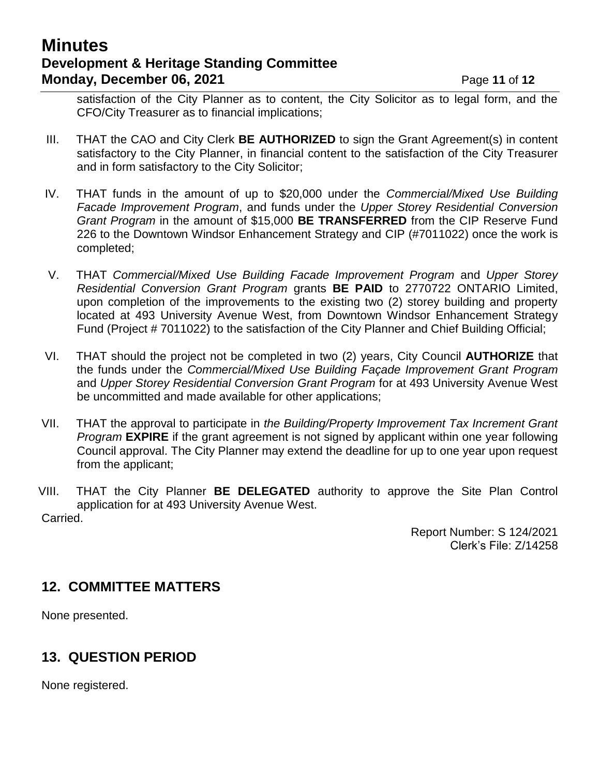# **Minutes Development & Heritage Standing Committee Monday, December 06, 2021 Page 11 of 12**

satisfaction of the City Planner as to content, the City Solicitor as to legal form, and the CFO/City Treasurer as to financial implications;

- III. THAT the CAO and City Clerk **BE AUTHORIZED** to sign the Grant Agreement(s) in content satisfactory to the City Planner, in financial content to the satisfaction of the City Treasurer and in form satisfactory to the City Solicitor;
- IV. THAT funds in the amount of up to \$20,000 under the *Commercial/Mixed Use Building Facade Improvement Program*, and funds under the *Upper Storey Residential Conversion Grant Program* in the amount of \$15,000 **BE TRANSFERRED** from the CIP Reserve Fund 226 to the Downtown Windsor Enhancement Strategy and CIP (#7011022) once the work is completed;
- V. THAT *Commercial/Mixed Use Building Facade Improvement Program* and *Upper Storey Residential Conversion Grant Program* grants **BE PAID** to 2770722 ONTARIO Limited, upon completion of the improvements to the existing two (2) storey building and property located at 493 University Avenue West, from Downtown Windsor Enhancement Strategy Fund (Project # 7011022) to the satisfaction of the City Planner and Chief Building Official;
- VI. THAT should the project not be completed in two (2) years, City Council **AUTHORIZE** that the funds under the *Commercial/Mixed Use Building Façade Improvement Grant Program* and *Upper Storey Residential Conversion Grant Program* for at 493 University Avenue West be uncommitted and made available for other applications;
- VII. THAT the approval to participate in *the Building/Property Improvement Tax Increment Grant Program* **EXPIRE** if the grant agreement is not signed by applicant within one year following Council approval. The City Planner may extend the deadline for up to one year upon request from the applicant;
- VIII. THAT the City Planner **BE DELEGATED** authority to approve the Site Plan Control application for at 493 University Avenue West. Carried.

Report Number: S 124/2021 Clerk's File: Z/14258

### **12. COMMITTEE MATTERS**

None presented.

### **13. QUESTION PERIOD**

None registered.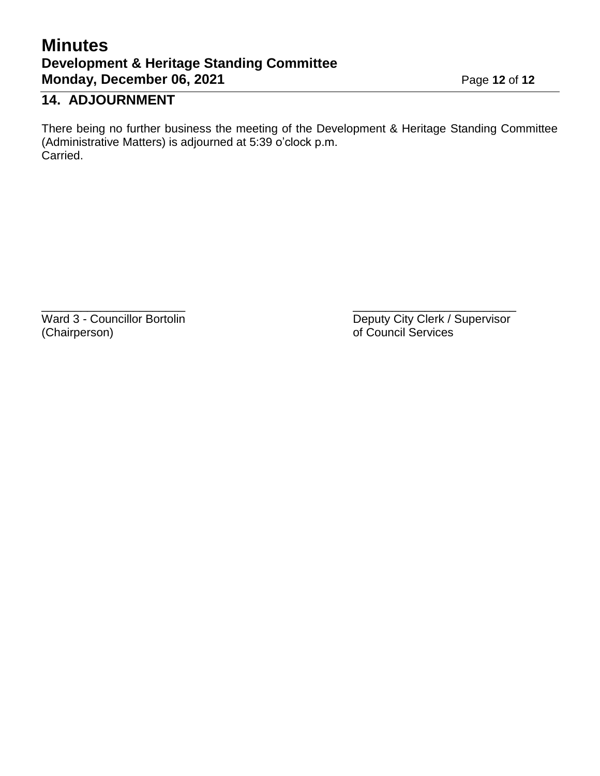# **Minutes Development & Heritage Standing Committee Monday, December 06, 2021** Page 12 of 12

# **14. ADJOURNMENT**

There being no further business the meeting of the Development & Heritage Standing Committee (Administrative Matters) is adjourned at 5:39 o'clock p.m. Carried.

 $\overline{\phantom{a}}$  , and the contract of the contract of the contract of the contract of the contract of the contract of the contract of the contract of the contract of the contract of the contract of the contract of the contrac

(Chairperson) of Council Services

Ward 3 - Councillor Bortolin **Deputy City Clerk / Supervisor**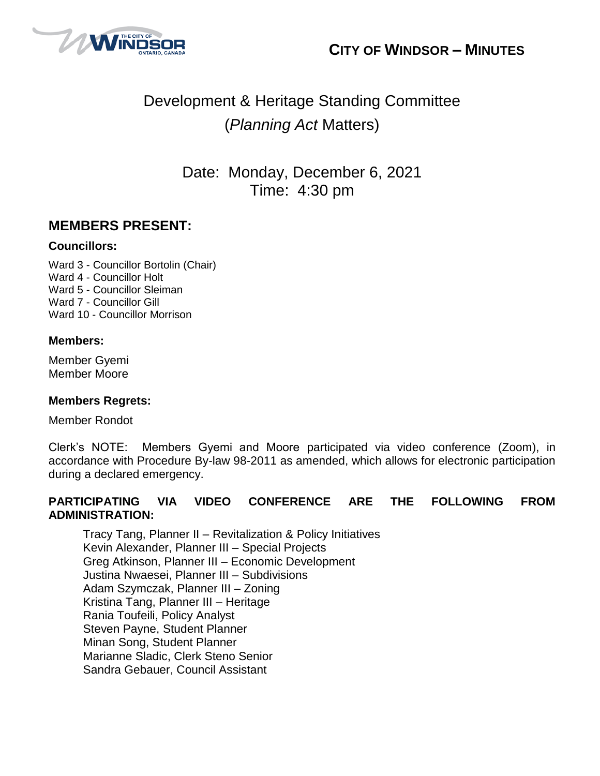



# Development & Heritage Standing Committee (*Planning Act* Matters)

Date: Monday, December 6, 2021 Time: 4:30 pm

### **MEMBERS PRESENT:**

#### **Councillors:**

Ward 3 - Councillor Bortolin (Chair) Ward 4 - Councillor Holt Ward 5 - Councillor Sleiman Ward 7 - Councillor Gill Ward 10 - Councillor Morrison

#### **Members:**

Member Gyemi Member Moore

#### **Members Regrets:**

Member Rondot

Clerk's NOTE: Members Gyemi and Moore participated via video conference (Zoom), in accordance with Procedure By-law 98-2011 as amended, which allows for electronic participation during a declared emergency.

#### **PARTICIPATING VIA VIDEO CONFERENCE ARE THE FOLLOWING FROM ADMINISTRATION:**

Tracy Tang, Planner II – Revitalization & Policy Initiatives Kevin Alexander, Planner III – Special Projects Greg Atkinson, Planner III – Economic Development Justina Nwaesei, Planner III – Subdivisions Adam Szymczak, Planner III – Zoning Kristina Tang, Planner III – Heritage Rania Toufeili, Policy Analyst Steven Payne, Student Planner Minan Song, Student Planner Marianne Sladic, Clerk Steno Senior Sandra Gebauer, Council Assistant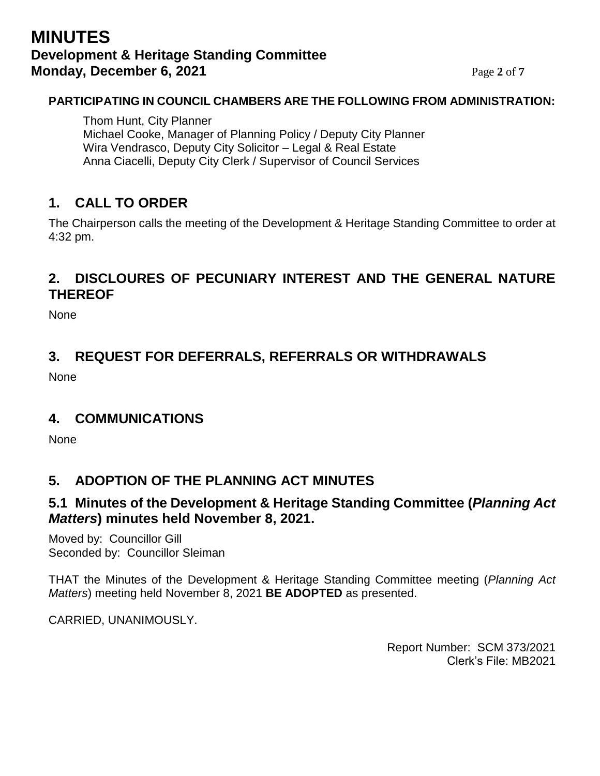# **MINUTES Development & Heritage Standing Committee Monday, December 6, 2021** Page 2 of 7

#### **PARTICIPATING IN COUNCIL CHAMBERS ARE THE FOLLOWING FROM ADMINISTRATION:**

Thom Hunt, City Planner Michael Cooke, Manager of Planning Policy / Deputy City Planner Wira Vendrasco, Deputy City Solicitor – Legal & Real Estate Anna Ciacelli, Deputy City Clerk / Supervisor of Council Services

# **1. CALL TO ORDER**

The Chairperson calls the meeting of the Development & Heritage Standing Committee to order at 4:32 pm.

# **2. DISCLOURES OF PECUNIARY INTEREST AND THE GENERAL NATURE THEREOF**

None

# **3. REQUEST FOR DEFERRALS, REFERRALS OR WITHDRAWALS**

None

### **4. COMMUNICATIONS**

**None** 

### **5. ADOPTION OF THE PLANNING ACT MINUTES**

### **5.1 Minutes of the Development & Heritage Standing Committee (***Planning Act Matters***) minutes held November 8, 2021.**

Moved by: Councillor Gill Seconded by: Councillor Sleiman

THAT the Minutes of the Development & Heritage Standing Committee meeting (*Planning Act Matters*) meeting held November 8, 2021 **BE ADOPTED** as presented.

CARRIED, UNANIMOUSLY.

Report Number: SCM 373/2021 Clerk's File: MB2021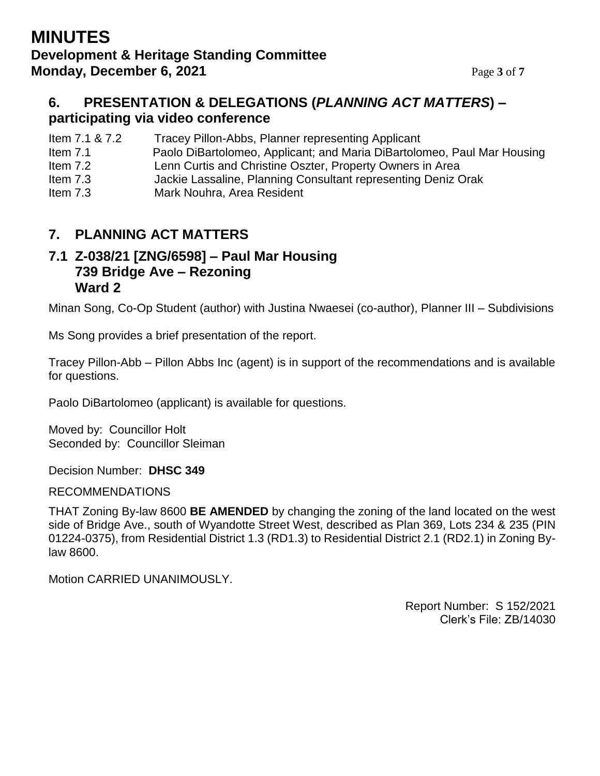## **MINUTES Development & Heritage Standing Committee Monday, December 6, 2021** Page 3 of 7

### **6. PRESENTATION & DELEGATIONS (***PLANNING ACT MATTERS***) – participating via video conference**

Item 7.1 & 7.2 Tracey Pillon-Abbs, Planner representing Applicant

- Item 7.1 Paolo DiBartolomeo, Applicant; and Maria DiBartolomeo, Paul Mar Housing
- Item 7.2 Lenn Curtis and Christine Oszter, Property Owners in Area
- Item 7.3 Jackie Lassaline, Planning Consultant representing Deniz Orak
- Item 7.3 Mark Nouhra, Area Resident

# **7. PLANNING ACT MATTERS**

### **7.1 Z-038/21 [ZNG/6598] – Paul Mar Housing 739 Bridge Ave – Rezoning Ward 2**

Minan Song, Co-Op Student (author) with Justina Nwaesei (co-author), Planner III – Subdivisions

Ms Song provides a brief presentation of the report.

Tracey Pillon-Abb – Pillon Abbs Inc (agent) is in support of the recommendations and is available for questions.

Paolo DiBartolomeo (applicant) is available for questions.

Moved by: Councillor Holt Seconded by: Councillor Sleiman

Decision Number: **DHSC 349**

**I** RECOMMENDATIONS

THAT Zoning By-law 8600 **BE AMENDED** by changing the zoning of the land located on the west side of Bridge Ave., south of Wyandotte Street West, described as Plan 369, Lots 234 & 235 (PIN 01224-0375), from Residential District 1.3 (RD1.3) to Residential District 2.1 (RD2.1) in Zoning Bylaw 8600.

Motion CARRIED UNANIMOUSLY.

Report Number: S 152/2021 Clerk's File: ZB/14030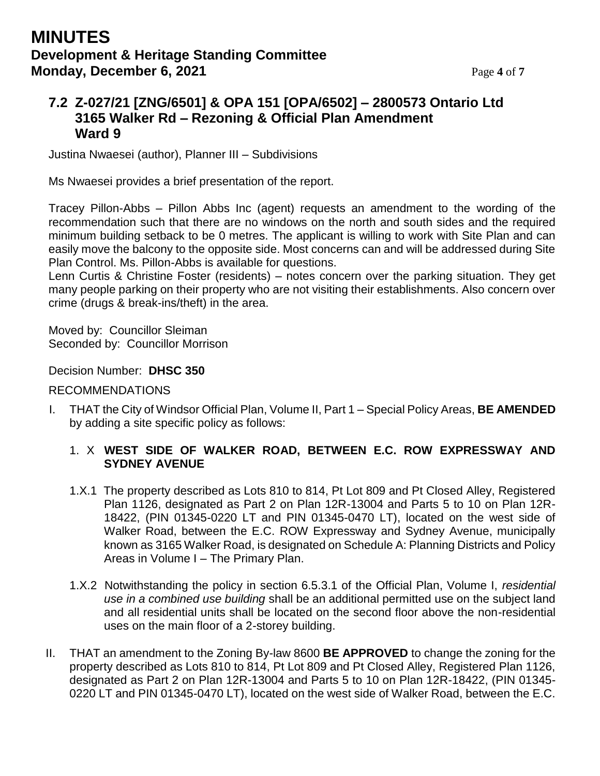## **MINUTES Development & Heritage Standing Committee Monday, December 6, 2021** Page 4 of 7

## **7.2 Z-027/21 [ZNG/6501] & OPA 151 [OPA/6502] – 2800573 Ontario Ltd 3165 Walker Rd – Rezoning & Official Plan Amendment Ward 9**

Justina Nwaesei (author), Planner III – Subdivisions

Ms Nwaesei provides a brief presentation of the report.

Tracey Pillon-Abbs – Pillon Abbs Inc (agent) requests an amendment to the wording of the recommendation such that there are no windows on the north and south sides and the required minimum building setback to be 0 metres. The applicant is willing to work with Site Plan and can easily move the balcony to the opposite side. Most concerns can and will be addressed during Site Plan Control. Ms. Pillon-Abbs is available for questions.

Lenn Curtis & Christine Foster (residents) – notes concern over the parking situation. They get many people parking on their property who are not visiting their establishments. Also concern over crime (drugs & break-ins/theft) in the area.

Moved by: Councillor Sleiman Seconded by: Councillor Morrison

#### Decision Number: **DHSC 350**

#### RECOMMENDATIONS

I. THAT the City of Windsor Official Plan, Volume II, Part 1 – Special Policy Areas, **BE AMENDED** by adding a site specific policy as follows:

#### 1. X **WEST SIDE OF WALKER ROAD, BETWEEN E.C. ROW EXPRESSWAY AND SYDNEY AVENUE**

- 1.X.1 The property described as Lots 810 to 814, Pt Lot 809 and Pt Closed Alley, Registered Plan 1126, designated as Part 2 on Plan 12R-13004 and Parts 5 to 10 on Plan 12R-18422, (PIN 01345-0220 LT and PIN 01345-0470 LT), located on the west side of Walker Road, between the E.C. ROW Expressway and Sydney Avenue, municipally known as 3165 Walker Road, is designated on Schedule A: Planning Districts and Policy Areas in Volume I – The Primary Plan.
- 1.X.2 Notwithstanding the policy in section 6.5.3.1 of the Official Plan, Volume I, *residential use in a combined use building* shall be an additional permitted use on the subject land and all residential units shall be located on the second floor above the non-residential uses on the main floor of a 2-storey building.
- II. THAT an amendment to the Zoning By-law 8600 **BE APPROVED** to change the zoning for the property described as Lots 810 to 814, Pt Lot 809 and Pt Closed Alley, Registered Plan 1126, designated as Part 2 on Plan 12R-13004 and Parts 5 to 10 on Plan 12R-18422, (PIN 01345- 0220 LT and PIN 01345-0470 LT), located on the west side of Walker Road, between the E.C.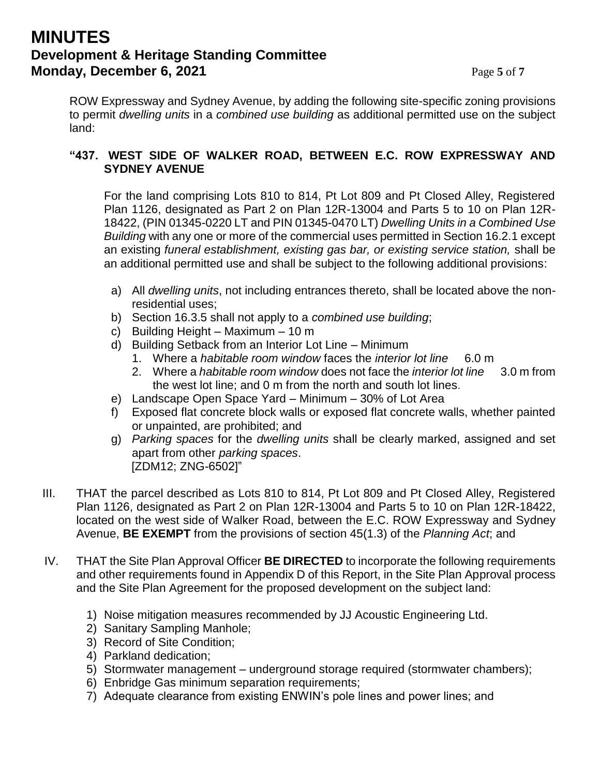## **MINUTES Development & Heritage Standing Committee Monday, December 6, 2021** Page 5 of 7

ROW Expressway and Sydney Avenue, by adding the following site-specific zoning provisions to permit *dwelling units* in a *combined use building* as additional permitted use on the subject land:

#### **"437. WEST SIDE OF WALKER ROAD, BETWEEN E.C. ROW EXPRESSWAY AND SYDNEY AVENUE**

For the land comprising Lots 810 to 814, Pt Lot 809 and Pt Closed Alley, Registered Plan 1126, designated as Part 2 on Plan 12R-13004 and Parts 5 to 10 on Plan 12R-18422, (PIN 01345-0220 LT and PIN 01345-0470 LT) *Dwelling Units in a Combined Use Building* with any one or more of the commercial uses permitted in Section 16.2.1 except an existing *funeral establishment, existing gas bar, or existing service station,* shall be an additional permitted use and shall be subject to the following additional provisions:

- a) All *dwelling units*, not including entrances thereto, shall be located above the nonresidential uses;
- b) Section 16.3.5 shall not apply to a *combined use building*;
- c) Building Height Maximum 10 m
- d) Building Setback from an Interior Lot Line Minimum
	- 1. Where a *habitable room window* faces the *interior lot line* 6.0 m
	- 2. Where a *habitable room window* does not face the *interior lot line* 3.0 m from the west lot line; and 0 m from the north and south lot lines.
- e) Landscape Open Space Yard Minimum 30% of Lot Area
- f) Exposed flat concrete block walls or exposed flat concrete walls, whether painted or unpainted, are prohibited; and
- g) *Parking spaces* for the *dwelling units* shall be clearly marked, assigned and set apart from other *parking spaces*. [ZDM12; ZNG-6502]"
- III. THAT the parcel described as Lots 810 to 814, Pt Lot 809 and Pt Closed Alley, Registered Plan 1126, designated as Part 2 on Plan 12R-13004 and Parts 5 to 10 on Plan 12R-18422, located on the west side of Walker Road, between the E.C. ROW Expressway and Sydney Avenue, **BE EXEMPT** from the provisions of section 45(1.3) of the *Planning Act*; and
- IV. THAT the Site Plan Approval Officer **BE DIRECTED** to incorporate the following requirements and other requirements found in Appendix D of this Report, in the Site Plan Approval process and the Site Plan Agreement for the proposed development on the subject land:
	- 1) Noise mitigation measures recommended by JJ Acoustic Engineering Ltd.
	- 2) Sanitary Sampling Manhole;
	- 3) Record of Site Condition;
	- 4) Parkland dedication;
	- 5) Stormwater management underground storage required (stormwater chambers);
	- 6) Enbridge Gas minimum separation requirements;
	- 7) Adequate clearance from existing ENWIN's pole lines and power lines; and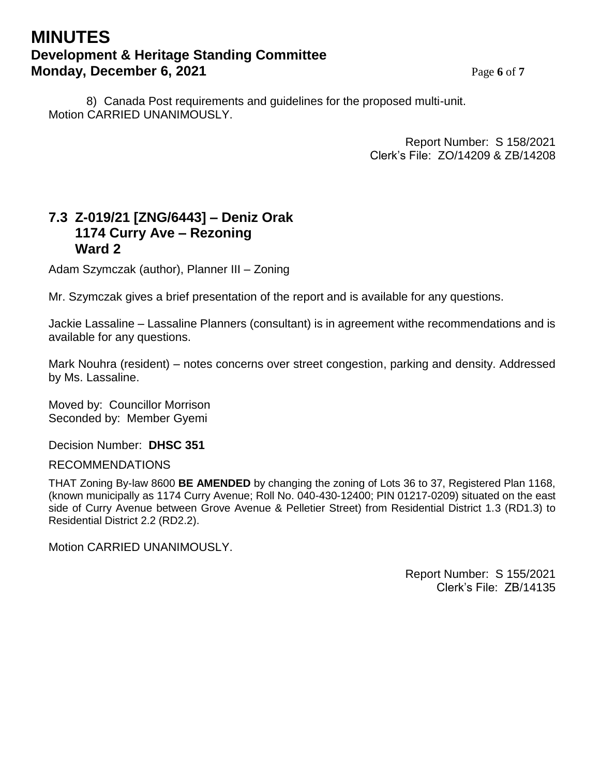## **MINUTES Development & Heritage Standing Committee Monday, December 6, 2021** Page 6 of 7

8) Canada Post requirements and guidelines for the proposed multi-unit. Motion CARRIED UNANIMOUSLY.

> Report Number: S 158/2021 Clerk's File: ZO/14209 & ZB/14208

### **7.3 Z-019/21 [ZNG/6443] – Deniz Orak 1174 Curry Ave – Rezoning Ward 2**

Adam Szymczak (author), Planner III – Zoning

Mr. Szymczak gives a brief presentation of the report and is available for any questions.

Jackie Lassaline – Lassaline Planners (consultant) is in agreement withe recommendations and is available for any questions.

Mark Nouhra (resident) – notes concerns over street congestion, parking and density. Addressed by Ms. Lassaline.

Moved by: Councillor Morrison Seconded by: Member Gyemi

Decision Number: **DHSC 351**

RECOMMENDATIONS

THAT Zoning By-law 8600 **BE AMENDED** by changing the zoning of Lots 36 to 37, Registered Plan 1168, (known municipally as 1174 Curry Avenue; Roll No. 040-430-12400; PIN 01217-0209) situated on the east side of Curry Avenue between Grove Avenue & Pelletier Street) from Residential District 1.3 (RD1.3) to Residential District 2.2 (RD2.2).

Motion CARRIED UNANIMOUSLY.

Report Number: S 155/2021 Clerk's File: ZB/14135